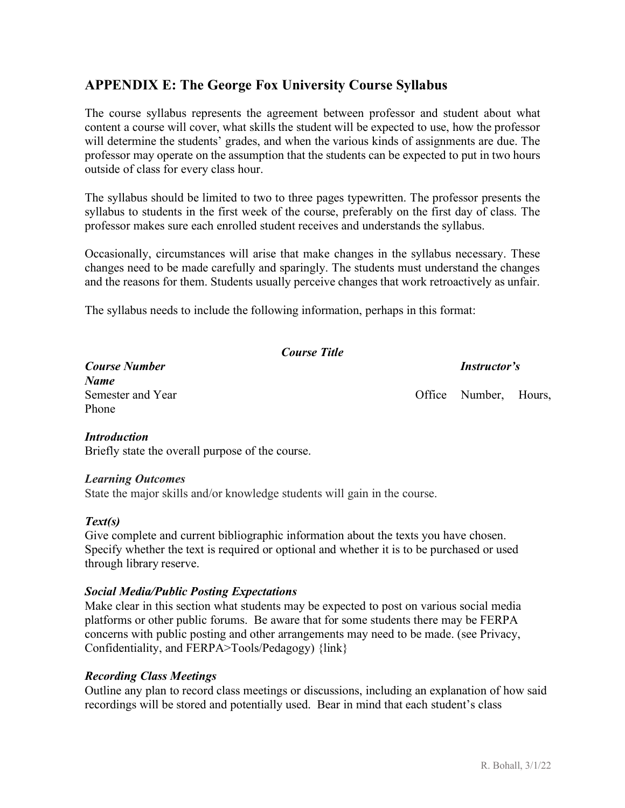# **APPENDIX E: The George Fox University Course Syllabus**

The course syllabus represents the agreement between professor and student about what content a course will cover, what skills the student will be expected to use, how the professor will determine the students' grades, and when the various kinds of assignments are due. The professor may operate on the assumption that the students can be expected to put in two hours outside of class for every class hour.

The syllabus should be limited to two to three pages typewritten. The professor presents the syllabus to students in the first week of the course, preferably on the first day of class. The professor makes sure each enrolled student receives and understands the syllabus.

Occasionally, circumstances will arise that make changes in the syllabus necessary. These changes need to be made carefully and sparingly. The students must understand the changes and the reasons for them. Students usually perceive changes that work retroactively as unfair.

The syllabus needs to include the following information, perhaps in this format:

*Course Title*

*Course Number Instructor's*

*Name* Phone

Semester and Year **Office** Number, Hours,

#### *Introduction*

Briefly state the overall purpose of the course.

#### *Learning Outcomes*

State the major skills and/or knowledge students will gain in the course.

## *Text(s)*

Give complete and current bibliographic information about the texts you have chosen. Specify whether the text is required or optional and whether it is to be purchased or used through library reserve.

#### *Social Media/Public Posting Expectations*

Make clear in this section what students may be expected to post on various social media platforms or other public forums. Be aware that for some students there may be FERPA concerns with public posting and other arrangements may need to be made. (see Privacy, Confidentiality, and FERPA>Tools/Pedagogy) {link}

## *Recording Class Meetings*

Outline any plan to record class meetings or discussions, including an explanation of how said recordings will be stored and potentially used. Bear in mind that each student's class